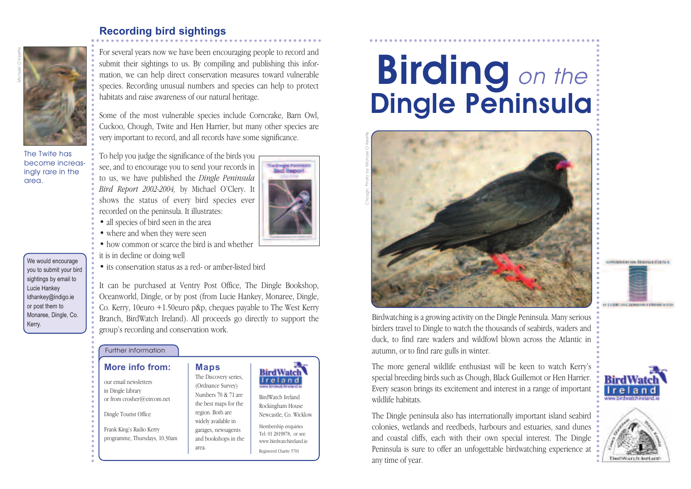## **Recording bird sightings**



The Twite has become increasingly rare in the area.

We would encourage you to submit your bird sightings by email to Lucie Hankey ldhankey@indigo.ie or post them to Monaree, Dingle, Co. Kerry.

For several years now we have been encouraging people to record and submit their sightings to us. By compiling and publishing this information, we can help direct conservation measures toward vulnerable species. Recording unusual numbers and species can help to protect habitats and raise awareness of our natural heritage.

Some of the most vulnerable species include Corncrake, Barn Owl, Cuckoo, Chough, Twite and Hen Harrier, but many other species are very important to record, and all records have some significance.

To help you judge the significance of the birds you see, and to encourage you to send your records in to us, we have published the *Dingle Peninsula Bird Report 2002-2004,* by Michael O'Clery. It shows the status of every bird species ever recorded on the peninsula. It illustrates:

- all species of bird seen in the area
- where and when they were seen
- how common or scarce the bird is and whether
- it is in decline or doing well
- its conservation status as a red- or amber-listed bird

It can be purchased at Ventry Post Office, The Dingle Bookshop, Oceanworld, Dingle, or by post (from Lucie Hankey, Monaree, Dingle, Co. Kerry, 10euro +1.50euro p&p, cheques payable to The West Kerry Branch, BirdWatch Ireland). All proceeds go directly to support the group's recording and conservation work.

#### Further information

## **More info from:**

our email newsletters in Dingle Library or from crosher@eircom.net

Dingle Tourist Office

Frank King's Radio Kerry programme, Thursdays, 10.30am **Maps** The Discovery series, (Ordnance Survey) Numbers 70 & 71 are the best maps for the region. Both are

and bookshops in the

area.



#### Tel: 01 2819878, or see www.birdwatchireland.ie Registered Charity 5703

BirdWatch Ireland

BirdWatc reland

# **Birding** on the Dingle Peninsula





Birdwatching is a growing activity on the Dingle Peninsula. Many serious birders travel to Dingle to watch the thousands of seabirds, waders and duck, to find rare waders and wildfowl blown across the Atlantic in autumn, or to find rare gulls in winter.

The more general wildlife enthusiast will be keen to watch Kerry's special breeding birds such as Chough, Black Guillemot or Hen Harrier. Every season brings its excitement and interest in a range of important wildlife habitats.

The Dingle peninsula also has internationally important island seabird colonies, wetlands and reedbeds, harbours and estuaries, sand dunes and coastal cliffs, each with their own special interest. The Dingle Peninsula is sure to offer an unfogettable birdwatching experience at any time of year.



**The Dringle Peninsul**<br>**Binci Report**